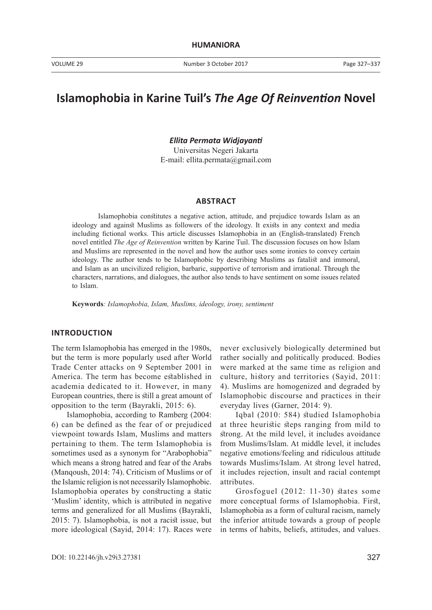# **Islamophobia in Karine Tuil's** *The Age Of Reinvention* **Novel**

*Ellita Permata Widjayanti* Universitas Negeri Jakarta

E-mail: ellita.permata@gmail.com

#### **ABSTRACT**

Islamophobia constitutes a negative action, attitude, and prejudice towards Islam as an ideology and against Muslims as followers of the ideology. It exists in any context and media including fictional works. This article discusses Islamophobia in an (English-translated) French novel entitled *The Age of Reinvention* written by Karine Tuil. The discussion focuses on how Islam and Muslims are represented in the novel and how the author uses some ironies to convey certain ideology. The author tends to be Islamophobic by describing Muslims as fatalist and immoral, and Islam as an uncivilized religion, barbaric, supportive of terrorism and irrational. Through the characters, narrations, and dialogues, the author also tends to have sentiment on some issues related to Islam.

**Keywords***: Islamophobia, Islam, Muslims, ideology, irony, sentiment* 

### **INTRODUCTION**

The term Islamophobia has emerged in the 1980s, but the term is more popularly used after World Trade Center attacks on 9 September 2001 in America. The term has become established in academia dedicated to it. However, in many European countries, there is still a great amount of opposition to the term (Bayrakli, 2015: 6).

Islamophobia, according to Ramberg (2004: 6) can be defined as the fear of or prejudiced viewpoint towards Islam, Muslims and matters pertaining to them. The term Islamophobia is sometimes used as a synonym for "Arabophobia" which means a strong hatred and fear of the Arabs (Manqoush, 2014: 74). Criticism of Muslims or of the Islamic religion is not necessarily Islamophobic. Islamophobia operates by constructing a static 'Muslim' identity, which is attributed in negative terms and generalized for all Muslims (Bayrakli, 2015: 7). Islamophobia, is not a racist issue, but more ideological (Sayid, 2014: 17). Races were

never exclusively biologically determined but rather socially and politically produced. Bodies were marked at the same time as religion and culture, history and territories (Sayid, 2011: 4). Muslims are homogenized and degraded by Islamophobic discourse and practices in their everyday lives (Garner, 2014: 9).

Iqbal (2010: 584) studied Islamophobia at three heuristic steps ranging from mild to strong. At the mild level, it includes avoidance from Muslims/Islam. At middle level, it includes negative emotions/feeling and ridiculous attitude towards Muslims/Islam. At strong level hatred, it includes rejection, insult and racial contempt attributes.

Grosfoguel (2012: 11-30) states some more conceptual forms of Islamophobia. First, Islamophobia as a form of cultural racism, namely the inferior attitude towards a group of people in terms of habits, beliefs, attitudes, and values.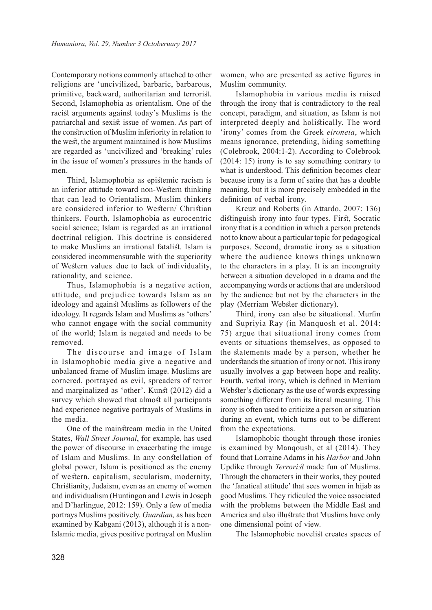Contemporary notions commonly attached to other religions are 'uncivilized, barbaric, barbarous, primitive, backward, authoritarian and terrorist. Second, Islamophobia as orientalism. One of the racist arguments against today's Muslims is the patriarchal and sexist issue of women. As part of the construction of Muslim inferiority in relation to the west, the argument maintained is how Muslims are regarded as 'uncivilized and 'breaking' rules in the issue of women's pressures in the hands of men.

Third, Islamophobia as epistemic racism is an inferior attitude toward non-Western thinking that can lead to Orientalism. Muslim thinkers are considered inferior to Western/ Christian thinkers. Fourth, Islamophobia as eurocentric social science; Islam is regarded as an irrational doctrinal religion. This doctrine is considered to make Muslims an irrational fatalist. Islam is considered incommensurable with the superiority of Western values due to lack of individuality, rationality, and science.

Thus, Islamophobia is a negative action, attitude, and prejudice towards Islam as an ideology and against Muslims as followers of the ideology. It regards Islam and Muslims as 'others' who cannot engage with the social community of the world; Islam is negated and needs to be removed.

The discourse and image of Islam in Islamophobic media give a negative and unbalanced frame of Muslim image. Muslims are cornered, portrayed as evil, spreaders of terror and marginalized as 'other'. Kunst (2012) did a survey which showed that almost all participants had experience negative portrayals of Muslims in the media.

One of the mainstream media in the United States, *Wall Street Journal*, for example, has used the power of discourse in exacerbating the image of Islam and Muslims. In any constellation of global power, Islam is positioned as the enemy of western, capitalism, secularism, modernity, Christianity, Judaism, even as an enemy of women and individualism (Huntingon and Lewis in Joseph and D'harlingue, 2012: 159). Only a few of media portrays Muslims positively. *Guardian,* as has been examined by Kabgani (2013), although it is a non-Islamic media, gives positive portrayal on Muslim

women, who are presented as active figures in Muslim community.

Islamophobia in various media is raised through the irony that is contradictory to the real concept, paradigm, and situation, as Islam is not interpreted deeply and holistically. The word 'irony' comes from the Greek *eironeia*, which means ignorance, pretending, hiding something (Colebrook, 2004:1-2). According to Colebrook (2014: 15) irony is to say something contrary to what is understood. This definition becomes clear because irony is a form of satire that has a double meaning, but it is more precisely embedded in the definition of verbal irony.

Kreuz and Roberts (in Attardo, 2007: 136) distinguish irony into four types. First, Socratic irony that is a condition in which a person pretends not to know about a particular topic for pedagogical purposes. Second, dramatic irony as a situation where the audience knows things unknown to the characters in a play. It is an incongruity between a situation developed in a drama and the accompanying words or actions that are understood by the audience but not by the characters in the play (Merriam Webster dictionary).

Third, irony can also be situational. Murfin and Supriyia Ray (in Manquosh et al. 2014: 75) argue that situational irony comes from events or situations themselves, as opposed to the statements made by a person, whether he understands the situation of irony or not. This irony usually involves a gap between hope and reality. Fourth, verbal irony, which is defined in Merriam Webster's dictionary as the use of words expressing something different from its literal meaning. This irony is often used to criticize a person or situation during an event, which turns out to be different from the expectations.

Islamophobic thought through those ironies is examined by Manqoush, et al (2014). They found that Lorraine Adams in his *Harbor* and John Updike through *Terrorist* made fun of Muslims. Through the characters in their works, they pouted the 'fanatical attitude' that sees women in hijab as good Muslims. They ridiculed the voice associated with the problems between the Middle East and America and also illustrate that Muslims have only one dimensional point of view.

The Islamophobic novelist creates spaces of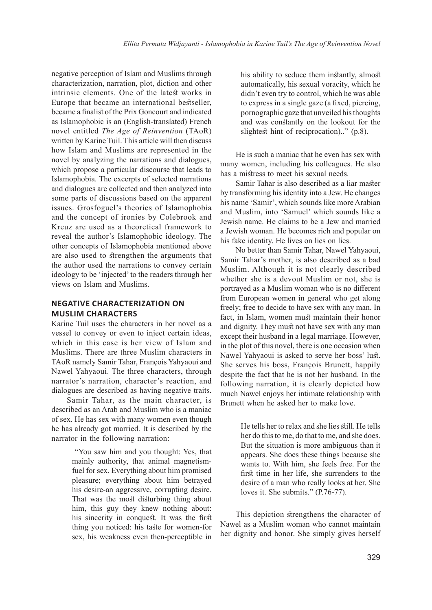negative perception of Islam and Muslims through characterization, narration, plot, diction and other intrinsic elements. One of the latest works in Europe that became an international bestseller, became a finalist of the Prix Goncourt and indicated as Islamophobic is an (English-translated) French novel entitled *The Age of Reinvention* (TAoR) written by Karine Tuil. This article will then discuss how Islam and Muslims are represented in the novel by analyzing the narrations and dialogues, which propose a particular discourse that leads to Islamophobia. The excerpts of selected narrations and dialogues are collected and then analyzed into some parts of discussions based on the apparent issues. Grosfoguel's theories of Islamophobia and the concept of ironies by Colebrook and Kreuz are used as a theoretical framework to reveal the author's Islamophobic ideology. The other concepts of Islamophobia mentioned above are also used to strengthen the arguments that the author used the narrations to convey certain ideology to be 'injected' to the readers through her views on Islam and Muslims.

# **NEGATIVE CHARACTERIZATION ON MUSLIM CHARACTERS**

Karine Tuil uses the characters in her novel as a vessel to convey or even to inject certain ideas, which in this case is her view of Islam and Muslims. There are three Muslim characters in TAoR namely Samir Tahar, François Yahyaoui and Nawel Yahyaoui. The three characters, through narrator's narration, character's reaction, and dialogues are described as having negative traits.

Samir Tahar, as the main character, is described as an Arab and Muslim who is a maniac of sex. He has sex with many women even though he has already got married. It is described by the narrator in the following narration:

> "You saw him and you thought: Yes, that mainly authority, that animal magnetismfuel for sex. Everything about him promised pleasure; everything about him betrayed his desire-an aggressive, corrupting desire. That was the most disturbing thing about him, this guy they knew nothing about: his sincerity in conquest. It was the first thing you noticed: his taste for women-for sex, his weakness even then-perceptible in

his ability to seduce them instantly, almost automatically, his sexual voracity, which he didn't even try to control, which he was able to express in a single gaze (a fixed, piercing, pornographic gaze that unveiled his thoughts and was constantly on the lookout for the slightest hint of reciprocation).." (p.8).

He is such a maniac that he even has sex with many women, including his colleagues. He also has a mistress to meet his sexual needs.

Samir Tahar is also described as a liar master by transforming his identity into a Jew. He changes his name 'Samir', which sounds like more Arabian and Muslim, into 'Samuel' which sounds like a Jewish name. He claims to be a Jew and married a Jewish woman. He becomes rich and popular on his fake identity. He lives on lies on lies.

No better than Samir Tahar, Nawel Yahyaoui, Samir Tahar's mother, is also described as a bad Muslim. Although it is not clearly described whether she is a devout Muslim or not, she is portrayed as a Muslim woman who is no different from European women in general who get along freely; free to decide to have sex with any man. In fact, in Islam, women must maintain their honor and dignity. They must not have sex with any man except their husband in a legal marriage. However, in the plot of this novel, there is one occasion when Nawel Yahyaoui is asked to serve her boss' lust. She serves his boss, François Brunett, happily despite the fact that he is not her husband. In the following narration, it is clearly depicted how much Nawel enjoys her intimate relationship with Brunett when he asked her to make love.

> He tells her to relax and she lies still. He tells her do this to me, do that to me, and she does. But the situation is more ambiguous than it appears. She does these things because she wants to. With him, she feels free. For the first time in her life, she surrenders to the desire of a man who really looks at her. She loves it. She submits." (P.76-77).

This depiction strengthens the character of Nawel as a Muslim woman who cannot maintain her dignity and honor. She simply gives herself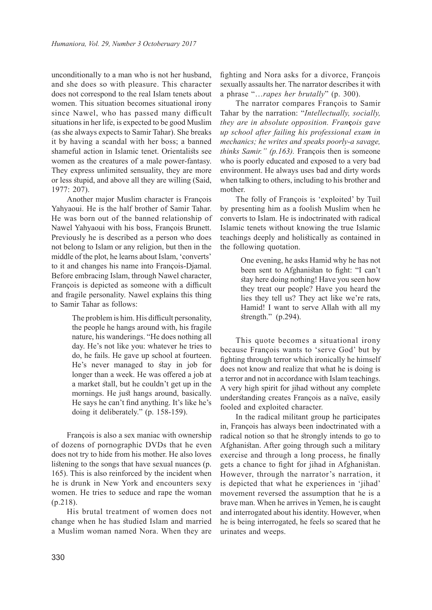unconditionally to a man who is not her husband, and she does so with pleasure. This character does not correspond to the real Islam tenets about women. This situation becomes situational irony since Nawel, who has passed many difficult situations in her life, is expected to be good Muslim (as she always expects to Samir Tahar). She breaks it by having a scandal with her boss; a banned shameful action in Islamic tenet. Orientalists see women as the creatures of a male power-fantasy. They express unlimited sensuality, they are more or less stupid, and above all they are willing (Said, 1977: 207).

Another major Muslim character is François Yahyaoui. He is the half brother of Samir Tahar. He was born out of the banned relationship of Nawel Yahyaoui with his boss, François Brunett. Previously he is described as a person who does not belong to Islam or any religion, but then in the middle of the plot, he learns about Islam, 'converts' to it and changes his name into François-Djamal. Before embracing Islam, through Nawel character, François is depicted as someone with a difficult and fragile personality. Nawel explains this thing to Samir Tahar as follows:

> The problem is him. His difficult personality, the people he hangs around with, his fragile nature, his wanderings. "He does nothing all day. He's not like you: whatever he tries to do, he fails. He gave up school at fourteen. He's never managed to stay in job for longer than a week. He was offered a job at a market stall, but he couldn't get up in the mornings. He just hangs around, basically. He says he can't find anything. It's like he's doing it deliberately." (p. 158-159).

François is also a sex maniac with ownership of dozens of pornographic DVDs that he even does not try to hide from his mother. He also loves listening to the songs that have sexual nuances (p. 165). This is also reinforced by the incident when he is drunk in New York and encounters sexy women. He tries to seduce and rape the woman (p.218).

His brutal treatment of women does not change when he has studied Islam and married a Muslim woman named Nora. When they are

fighting and Nora asks for a divorce, François sexually assaults her. The narrator describes it with a phrase "…*rapes her brutally*" (p. 300).

The narrator compares François to Samir Tahar by the narration: "*Intellectually, socially, they are in absolute opposition. Fran***ç***ois gave up school after failing his professional exam in mechanics; he writes and speaks poorly-a savage, thinks Samir." (p.163).* François then is someone who is poorly educated and exposed to a very bad environment. He always uses bad and dirty words when talking to others, including to his brother and mother.

The folly of François is 'exploited' by Tuil by presenting him as a foolish Muslim when he converts to Islam. He is indoctrinated with radical Islamic tenets without knowing the true Islamic teachings deeply and holistically as contained in the following quotation.

> One evening, he asks Hamid why he has not been sent to Afghanistan to fight: "I can't stay here doing nothing! Have you seen how they treat our people? Have you heard the lies they tell us? They act like we're rats, Hamid! I want to serve Allah with all my strength." (p.294).

This quote becomes a situational irony because François wants to 'serve God' but by fighting through terror which ironically he himself does not know and realize that what he is doing is a terror and not in accordance with Islam teachings. A very high spirit for jihad without any complete understanding creates François as a naïve, easily fooled and exploited character.

In the radical militant group he participates in, François has always been indoctrinated with a radical notion so that he strongly intends to go to Afghanistan. After going through such a military exercise and through a long process, he finally gets a chance to fight for jihad in Afghanistan. However, through the narrator's narration, it is depicted that what he experiences in 'jihad' movement reversed the assumption that he is a brave man. When he arrives in Yemen, he is caught and interrogated about his identity. However, when he is being interrogated, he feels so scared that he urinates and weeps.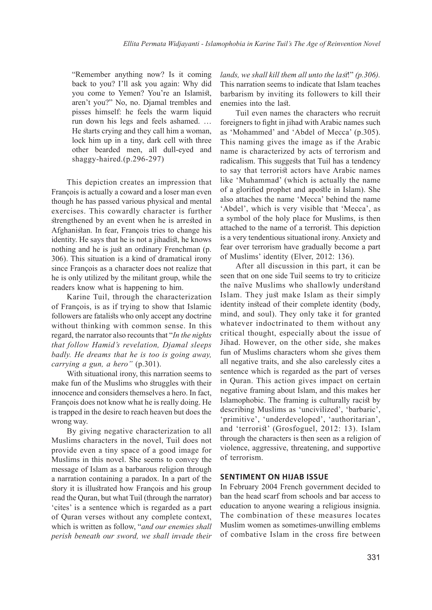"Remember anything now? Is it coming back to you? I'll ask you again: Why did you come to Yemen? You're an Islamist, aren't you?" No, no. Djamal trembles and pisses himself: he feels the warm liquid run down his legs and feels ashamed. … He starts crying and they call him a woman, lock him up in a tiny, dark cell with three other bearded men, all dull-eyed and shaggy-haired.(p.296-297)

This depiction creates an impression that François is actually a coward and a loser man even though he has passed various physical and mental exercises. This cowardly character is further strengthened by an event when he is arrested in Afghanistan. In fear, François tries to change his identity. He says that he is not a jihadist, he knows nothing and he is just an ordinary Frenchman (p. 306). This situation is a kind of dramatical irony since François as a character does not realize that he is only utilized by the militant group, while the readers know what is happening to him.

Karine Tuil, through the characterization of François, is as if trying to show that Islamic followers are fatalists who only accept any doctrine without thinking with common sense. In this regard, the narrator also recounts that "*In the nights that follow Hamid's revelation, Djamal sleeps badly. He dreams that he is too is going away, carrying a gun, a hero"* (p.301).

With situational irony, this narration seems to make fun of the Muslims who struggles with their innocence and considers themselves a hero. In fact, François does not know what he is really doing. He is trapped in the desire to reach heaven but does the wrong way.

By giving negative characterization to all Muslims characters in the novel, Tuil does not provide even a tiny space of a good image for Muslims in this novel. She seems to convey the message of Islam as a barbarous religion through a narration containing a paradox. In a part of the story it is illustrated how François and his group read the Quran, but what Tuil (through the narrator) 'cites' is a sentence which is regarded as a part of Quran verses without any complete context, which is written as follow, "*and our enemies shall perish beneath our sword, we shall invade their* 

*lands, we shall kill them all unto the last*!" *(p.306).*  This narration seems to indicate that Islam teaches barbarism by inviting its followers to kill their enemies into the last.

Tuil even names the characters who recruit foreigners to fight in jihad with Arabic names such as 'Mohammed' and 'Abdel of Mecca' (p.305). This naming gives the image as if the Arabic name is characterized by acts of terrorism and radicalism. This suggests that Tuil has a tendency to say that terrorist actors have Arabic names like 'Muhammad' (which is actually the name of a glorified prophet and apostle in Islam). She also attaches the name 'Mecca' behind the name 'Abdel', which is very visible that 'Mecca', as a symbol of the holy place for Muslims, is then attached to the name of a terrorist. This depiction is a very tendentious situational irony. Anxiety and fear over terrorism have gradually become a part of Muslims' identity (Elver, 2012: 136).

After all discussion in this part, it can be seen that on one side Tuil seems to try to criticize the naïve Muslims who shallowly understand Islam. They just make Islam as their simply identity instead of their complete identity (body, mind, and soul). They only take it for granted whatever indoctrinated to them without any critical thought, especially about the issue of Jihad. However, on the other side, she makes fun of Muslims characters whom she gives them all negative traits, and she also carelessly cites a sentence which is regarded as the part of verses in Quran. This action gives impact on certain negative framing about Islam, and this makes her Islamophobic. The framing is culturally racist by describing Muslims as 'uncivilized', 'barbaric', 'primitive', 'underdeveloped', 'authoritarian', and 'terrorist' (Grosfoguel, 2012: 13). Islam through the characters is then seen as a religion of violence, aggressive, threatening, and supportive of terrorism.

#### **SENTIMENT ON HIJAB ISSUE**

In February 2004 French government decided to ban the head scarf from schools and bar access to education to anyone wearing a religious insignia. The combination of these measures locates Muslim women as sometimes-unwilling emblems of combative Islam in the cross fire between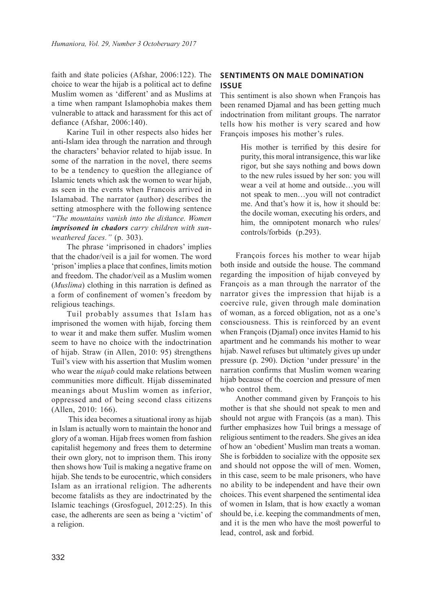faith and state policies (Afshar, 2006:122). The choice to wear the hijab is a political act to define Muslim women as 'different' and as Muslims at a time when rampant Islamophobia makes them vulnerable to attack and harassment for this act of defiance (Afshar, 2006:140).

Karine Tuil in other respects also hides her anti-Islam idea through the narration and through the characters' behavior related to hijab issue. In some of the narration in the novel, there seems to be a tendency to question the allegiance of Islamic tenets which ask the women to wear hijab, as seen in the events when Francois arrived in Islamabad. The narrator (author) describes the setting atmosphere with the following sentence *"The mountains vanish into the distance. Women imprisoned in chadors carry children with sunweathered faces."* (p. 303).

The phrase 'imprisoned in chadors' implies that the chador/veil is a jail for women. The word 'prison' implies a place that confines, limits motion and freedom. The chador/veil as a Muslim women (*Muslima*) clothing in this narration is defined as a form of confinement of women's freedom by religious teachings.

Tuil probably assumes that Islam has imprisoned the women with hijab, forcing them to wear it and make them suffer. Muslim women seem to have no choice with the indoctrination of hijab. Straw (in Allen, 2010: 95) strengthens Tuil's view with his assertion that Muslim women who wear the *niqab* could make relations between communities more difficult. Hijab disseminated meanings about Muslim women as inferior, oppressed and of being second class citizens (Allen, 2010: 166).

 This idea becomes a situational irony as hijab in Islam is actually worn to maintain the honor and glory of a woman. Hijab frees women from fashion capitalist hegemony and frees them to determine their own glory, not to imprison them. This irony then shows how Tuil is making a negative frame on hijab. She tends to be eurocentric, which considers Islam as an irrational religion. The adherents become fatalists as they are indoctrinated by the Islamic teachings (Grosfoguel, 2012:25). In this case, the adherents are seen as being a 'victim' of a religion.

## **SENTIMENTS ON MALE DOMINATION ISSUE**

This sentiment is also shown when François has been renamed Djamal and has been getting much indoctrination from militant groups. The narrator tells how his mother is very scared and how François imposes his mother's rules.

> His mother is terrified by this desire for purity, this moral intransigence, this war like rigor, but she says nothing and bows down to the new rules issued by her son: you will wear a veil at home and outside…you will not speak to men…you will not contradict me. And that's how it is, how it should be: the docile woman, executing his orders, and him, the omnipotent monarch who rules/ controls/forbids (p.293).

François forces his mother to wear hijab both inside and outside the house. The command regarding the imposition of hijab conveyed by François as a man through the narrator of the narrator gives the impression that hijab is a coercive rule, given through male domination of woman, as a forced obligation, not as a one's consciousness. This is reinforced by an event when François (Djamal) once invites Hamid to his apartment and he commands his mother to wear hijab. Nawel refuses but ultimately gives up under pressure (p. 290). Diction 'under pressure' in the narration confirms that Muslim women wearing hijab because of the coercion and pressure of men who control them.

Another command given by François to his mother is that she should not speak to men and should not argue with François (as a man). This further emphasizes how Tuil brings a message of religious sentiment to the readers. She gives an idea of how an 'obedient' Muslim man treats a woman. She is forbidden to socialize with the opposite sex and should not oppose the will of men. Women, in this case, seem to be male prisoners, who have no ability to be independent and have their own choices. This event sharpened the sentimental idea of women in Islam, that is how exactly a woman should be, i.e. keeping the commandments of men, and it is the men who have the most powerful to lead, control, ask and forbid.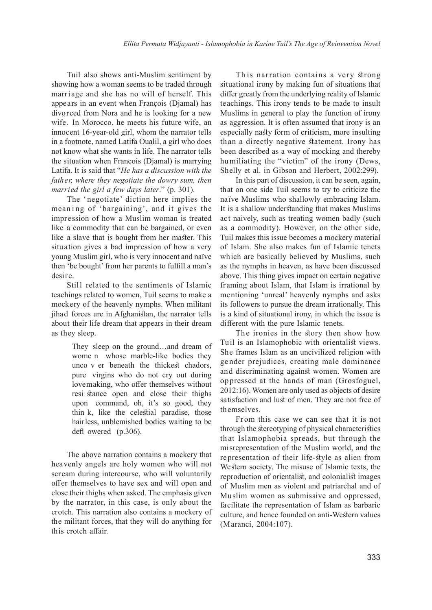Tuil also shows anti-Muslim sentiment by showing how a woman seems to be traded through marriage and she has no will of herself. This appears in an event when François (Djamal) has divorced from Nora and he is looking for a new wife. In Morocco, he meets his future wife, an innocent 16-year-old girl, whom the narrator tells in a footnote, named Latifa Oualil, a girl who does not know what she wants in life. The narrator tells the situation when Francois (Djamal) is marrying Latifa. It is said that "*He has a discussion with the father, where they negotiate the dowry sum, then married the girl a few days later*." (p. 301).

The 'negotiate' diction here implies the meaning of 'bargaining', and it gives the impression of how a Muslim woman is treated like a commodity that can be bargained, or even like a slave that is bought from her master. This situation gives a bad impression of how a very young Muslim girl, who is very innocent and naïve then 'be bought' from her parents to fulfill a man's desire.

Still related to the sentiments of Islamic teachings related to women, Tuil seems to make a mockery of the heavenly nymphs. When militant jihad forces are in Afghanistan, the narrator tells about their life dream that appears in their dream as they sleep.

> They sleep on the ground…and dream of wome n whose marble-like bodies they unco v er beneath the thickest chadors, pure virgins who do not cry out during lovemaking, who offer themselves without resi stance open and close their thighs upon command, oh, it's so good, they thin k, like the celestial paradise, those hairless, unblemished bodies waiting to be defl owered (p.306).

The above narration contains a mockery that heavenly angels are holy women who will not scream during intercourse, who will voluntarily offer themselves to have sex and will open and close their thighs when asked. The emphasis given by the narrator, in this case, is only about the crotch. This narration also contains a mockery of the militant forces, that they will do anything for this crotch affair.

Th is narration contains a very strong situational irony by making fun of situations that differ greatly from the underlying reality of Islamic teachings. This irony tends to be made to insult Muslims in general to play the function of irony as aggression. It is often assumed that irony is an especially nasty form of criticism, more insulting th an a directly negative statement. Irony has been described as a way of mocking and thereby hu miliating the "victim" of the irony (Dews, Shelly et al. in Gibson and Herbert, 2002:299).

In this part of discussion, it can be seen, again, that on one side Tuil seems to try to criticize the naïve Muslims who shallowly embracing Islam. It is a shallow understanding that makes Muslims act naively, such as treating women badly (such as a commodity). However, on the other side, Tuil makes this issue becomes a mockery material of Islam. She also makes fun of Islamic tenets which are basically believed by Muslims, such as the nymphs in heaven, as have been discussed above. This thing gives impact on certain negative framing about Islam, that Islam is irrational by mentioning 'unreal' heavenly nymphs and asks its followers to pursue the dream irrationally. This is a kind of situational irony, in which the issue is different with the pure Islamic tenets.

The ironies in the story then show how Tuil is an Islamophobic with orientalist views. She frames Islam as an uncivilized religion with ge nder prejudices, creating male dominance and discriminating against women. Women are op pressed at the hands of man (Grosfoguel, 2012:16). Women are only used as objects of desire satisfaction and lust of men. They are not free of themselves.

From this case we can see that it is not through the stereotyping of physical characteristics th at Islamophobia spreads, but through the misrepresentation of the Muslim world, and the representation of their life-style as alien from Western society. The misuse of Islamic texts, the reproduction of orientalist, and colonialist images of Muslim men as violent and patriarchal and of Muslim women as submissive and oppressed, facilitate the representation of Islam as barbaric culture, and hence founded on anti-Western values (Maranci, 2004:107).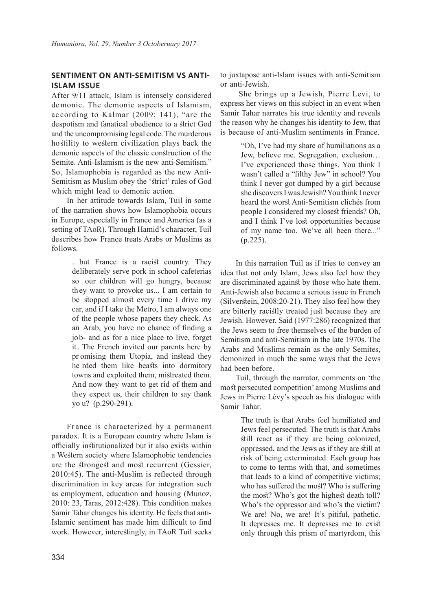# **SENTIMENT ON ANTI-SEMITISM VS ANTI-ISLAM ISSUE**

After 9/11 attack, Islam is intensely considered de monic. The demonic aspects of Islamism, ac cording to Kalmar (2009: 141), "are the despotism and fanatical obedience to a strict God and the uncompromising legal code. The murderous hostility to western civilization plays back the demonic aspects of the classic construction of the Semite. Anti-Islamism is the new anti-Semitism." So, Islamophobia is regarded as the new Anti-Semitism as Muslim obey the 'strict' rules of God which might lead to demonic action.

In her attitude towards Islam, Tuil in some of the narration shows how Islamophobia occurs in Europe, especially in France and America (as a setting of TAoR). Through Hamid's character, Tuil describes how France treats Arabs or Muslims as follows.

> .. but France is a racist country. They deliberately serve pork in school cafeterias so our children will go hungry, because they want to provoke us... I am certain to be stopped almost every time I drive my car, and if I take the Metro, I am always one of the people whose papers they check. As an Arab, you have no chance of finding a job- and as for a nice place to live, forget it. The French invited our parents here by pr omising them Utopia, and instead they he rded them like beasts into dormitory towns and exploited them, mistreated them. And now they want to get rid of them and they expect us, their children to say thank yo u? (p.290-291).

Fr ance is characterized by a permanent paradox. It is a European country where Islam is officially institutionalized but it also exists within a Western society where Islamophobic tendencies are the strongest and most recurrent (Gessier, 2010:45). The anti-Muslim is reflected through discrimination in key areas for integration such as employment, education and housing (Munoz, 2010: 23, Taras, 2012:428). This condition makes Samir Tahar changes his identity. He feels that anti-Islamic sentiment has made him difficult to find work. However, interestingly, in TAoR Tuil seeks

to juxtapose anti-Islam issues with anti-Semitism or anti-Jewish.

 She brings up a Jewish, Pierre Levi, to express her views on this subject in an event when Samir Tahar narrates his true identity and reveals the reason why he changes his identity to Jew, that is because of anti-Muslim sentiments in France.

> "Oh, I've had my share of humiliations as a Jew, believe me. Segregation, exclusion… I've experienced those things. You think I wasn't called a "filthy Jew" in school? You think I never got dumped by a girl because she discovers I was Jewish? You think I never heard the worst Anti-Semitism clichés from people I considered my closest friends? Oh, and I think I've lost opportunities because of my name too. We've all been there..." (p.225).

In this narration Tuil as if tries to convey an idea that not only Islam, Jews also feel how they are discriminated against by those who hate them. Anti-Jewish also became a serious issue in French (Silverstein, 2008:20-21). They also feel how they are bitterly racistly treated just because they are Jewish. However, Said (1977:286) recognized that the Jews seem to free themselves of the burden of Semitism and anti-Semitism in the late 1970s. The Arabs and Muslims remain as the only Semites, demonized in much the same ways that the Jews had been before.

Tuil, through the narrator, comments on 'the most persecuted competition' among Muslims and Jews in Pierre Lévy's speech as his dialogue with Samir Tahar.

> The truth is that Arabs feel humiliated and Jews feel persecuted. The truth is that Arabs still react as if they are being colonized, oppressed, and the Jews as if they are still at risk of being exterminated. Each group has to come to terms with that, and sometimes that leads to a kind of competitive victims; who has suffered the most? Who is suffering the most? Who's got the highest death toll? Who's the oppressor and who's the victim? We are! No, we are! It's pitiful, pathetic. It depresses me. It depresses me to exist only through this prism of martyrdom, this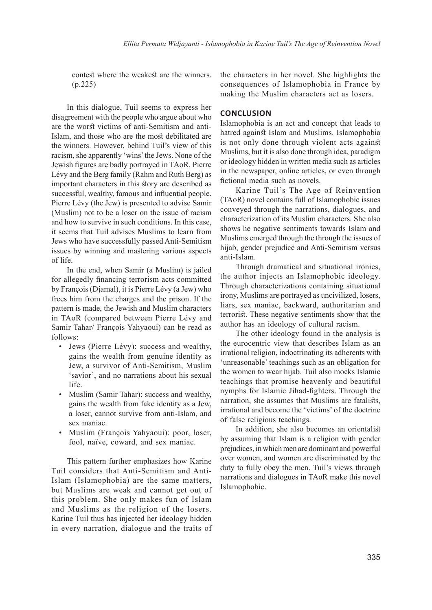contest where the weakest are the winners. (p.225)

In this dialogue, Tuil seems to express her disagreement with the people who argue about who are the worst victims of anti-Semitism and anti-Islam, and those who are the most debilitated are the winners. However, behind Tuil's view of this racism, she apparently 'wins' the Jews. None of the Jewish figures are badly portrayed in TAoR. Pierre Lévy and the Berg family (Rahm and Ruth Berg) as important characters in this story are described as successful, wealthy, famous and influential people. Pierre Lévy (the Jew) is presented to advise Samir (Muslim) not to be a loser on the issue of racism and how to survive in such conditions. In this case, it seems that Tuil advises Muslims to learn from Jews who have successfully passed Anti-Semitism issues by winning and mastering various aspects of life.

In the end, when Samir (a Muslim) is jailed for allegedly financing terrorism acts committed by François (Djamal), it is Pierre Lévy (a Jew) who frees him from the charges and the prison. If the pattern is made, the Jewish and Muslim characters in TAoR (compared between Pierre Lévy and Samir Tahar/ François Yahyaoui) can be read as follows:

- Jews (Pierre Lévy): success and wealthy, gains the wealth from genuine identity as Jew, a survivor of Anti-Semitism, Muslim 'savior', and no narrations about his sexual life.
- Muslim (Samir Tahar): success and wealthy, gains the wealth from fake identity as a Jew, a loser, cannot survive from anti-Islam, and sex maniac.
- Muslim (François Yahyaoui): poor, loser, fool, naïve, coward, and sex maniac.

This pattern further emphasizes how Karine Tuil considers that Anti-Semitism and Anti-Islam (Islamophobia) are the same matters, but Muslims are weak and cannot get out of this problem. She only makes fun of Islam and Muslims as the religion of the losers. Karine Tuil thus has injected her ideology hidden in every narration, dialogue and the traits of the characters in her novel. She highlights the consequences of Islamophobia in France by making the Muslim characters act as losers.

#### **CONCLUSION**

Islamophobia is an act and concept that leads to hatred against Islam and Muslims. Islamophobia is not only done through violent acts against Muslims, but it is also done through idea, paradigm or ideology hidden in written media such as articles in the newspaper, online articles, or even through fictional media such as novels.

Karine Tuil's The Age of Reinvention (TAoR) novel contains full of Islamophobic issues conveyed through the narrations, dialogues, and characterization of its Muslim characters. She also shows he negative sentiments towards Islam and Muslims emerged through the through the issues of hijab, gender prejudice and Anti-Semitism versus anti-Islam.

Through dramatical and situational ironies, the author injects an Islamophobic ideology. Through characterizations containing situational irony, Muslims are portrayed as uncivilized, losers, liars, sex maniac, backward, authoritarian and terrorist. These negative sentiments show that the author has an ideology of cultural racism.

The other ideology found in the analysis is the eurocentric view that describes Islam as an irrational religion, indoctrinating its adherents with 'unreasonable' teachings such as an obligation for the women to wear hijab. Tuil also mocks Islamic teachings that promise heavenly and beautiful nymphs for Islamic Jihad-fighters. Through the narration, she assumes that Muslims are fatalists, irrational and become the 'victims' of the doctrine of false religious teachings.

In addition, she also becomes an orientalist by assuming that Islam is a religion with gender prejudices, in which men are dominant and powerful over women, and women are discriminated by the duty to fully obey the men. Tuil's views through narrations and dialogues in TAoR make this novel Islamophobic.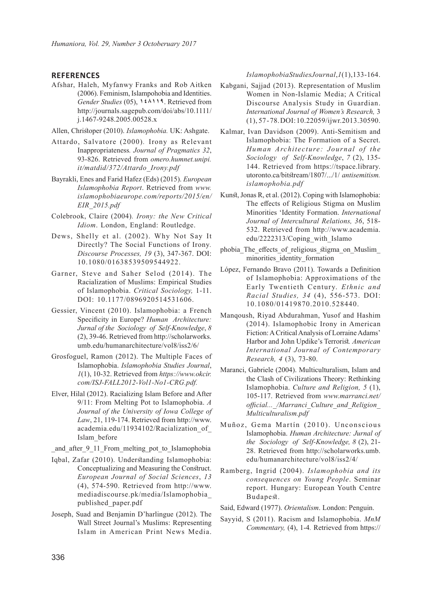### **REFERENCES**

Afshar, Haleh, Myfanwy Franks and Rob Aitken (2006). Feminism, Islampohobia and Identities. *Gender Studies* (05), **148119**. Retrieved from http://journals.sagepub.com/doi/abs/10.1111/ j.1467-9248.2005.00528.x

Allen, Christoper (2010). *Islamophobia.* UK: Ashgate.

- Attardo, Salvatore (2000)*.* Irony as Relevant Inappropriateness*. Journal of Pragmatics 32*, 93-826. Retrieved from *omero.humnet.unipi. it/matdid/372/Attardo\_Irony.pdf*
- Bayrakli, Enes and Farid Hafez (Eds) (2015). *European Islamophobia Report*. Retrieved from *www. islamophobiaeurope.com/reports/2015/en/ EIR\_2015.pdf*
- Colebrook, Claire (2004)*. Irony: the New Critical Idiom*. London, England: Routledge.
- Dews, Shelly et al. (2002). Why Not Say It Directly? The Social Functions of Irony*. Discourse Processes, 19* (3), 347-367. DOI: 10.1080/01638539509544922.
- Garner, Steve and Saher Selod (2014). The Racialization of Muslims: Empirical Studies of Islamophobia. *Critical Sociology,* 1-11. DOI: 10.1177/0896920514531606.
- Gessier, Vincent (2010). Islamophobia: a French Specificity in Europe? *Human Architecture: Jurnal of the Sociology of Self-Knowledge*, *8*  (2), 39-46. Retrieved from http://scholarworks. umb.edu/humanarchitecture/vol8/iss2/6/
- Grosfoguel, Ramon (2012). The Multiple Faces of Islamophobia. *Islamophobia Studies Journal*, *1*(1), 10-32. Retrieved from *https://www.okcir. com/ISJ-FALL2012-Vol1-No1-CRG.pdf.*
- Elver, Hilal (2012). Racializing Islam Before and After 9/11: From Melting Pot to Islamophobia. *A Journal of the University of Iowa College of Law*, 21, 119-174. Retrieved from http://www. academia.edu/11934102/Racialization\_of\_ Islam\_before

and after 9 11 From melting pot to Islamophobia

- Iqbal, Zafar (2010). Understanding Islamophobia: Conceptualizing and Measuring the Construct. *European Journal of Social Sciences*, *13* (4), 574-590. Retrieved from http://www. mediadiscourse.pk/media/Islamophobia\_ published\_paper.pdf
- Joseph, Suad and Benjamin D'harlingue (2012). The Wall Street Journal's Muslims: Representing Islam in American Print News Media.

*Islamophobia Studies Journal*, *1* (1), 133-164.

- Kabgani, Sajjad (2013). Representation of Muslim Women in Non-Islamic Media; A Critical Discourse Analysis Study in Guardian. *International Journal of Women's Research,* 3 (1), 57 - 78. DOI: 10.22059/ijwr.2013.30590.
- Kalmar, Ivan Davidson (2009). Anti-Semitism and Islamophobia: The Formation of a Secret. *Human Architecture: Journal of the Sociology of Self-Knowledge*, *7* (2), 135- 144. Retrieved from https://tspace.library. utoronto.ca/bitstream/1807/.../1/ *antisemitism. islamophobia.pdf*
- Kunst, Jonas R, et al. (2012). Coping with Islamophobia: The effects of Religious Stigma on Muslim Minorities 'Identity Formation. *International Journal of Intercultural Relations, 36*, 518- 532. Retrieved from http://www.academia. edu/2222313/Coping\_with\_Islamo
- phobia The effects of religious stigma on Muslim minorities identity formation
- López, Fernando Bravo (2011). Towards a Definition of Islamophobia: Approximations of the Early Twentieth Century. *Ethnic and Racial Studies, 34* (4), 556-573. DOI: 10.1080/01419870.2010.528440.
- Manqoush, Riyad Abdurahman, Yusof and Hashim (2014). Islamophobic Irony in American Fiction: A Critical Analysis of Lorraine Adams' Harbor and John Updike's Terrorist*. American International Journal of Contemporary Research, 4* (3), 73-80.
- Maranci, Gabriele (2004). Multiculturalism, Islam and the Clash of Civilizations Theory: Rethinking Islamophobia. *Culture and Religion, 5* (1), 105-117. Retrieved from *www.marranci.net/ official...\_/Marranci\_Culture\_and\_Religion\_ Multiculturalism.pdf*
- Muñoz, Gema Martín (2010). Unconscious Islamophobia. *Human Architecture: Jurnal of the Sociology of Self-Knowledge, 8* (2), 21- 28. Retrieved from http://scholarworks.umb. edu/humanarchitecture/vol8/iss2/4/
- Ramberg, Ingrid (2004). *Islamophobia and its consequences on Young People*. Seminar report. Hungary: European Youth Centre Budapest.
- Said, Edward (1977). *Orientalism*. London: Penguin.
- Sayyid, S (2011). Racism and Islamophobia. *MnM Commentary,* (4), 1-4*.* Retrieved from https://